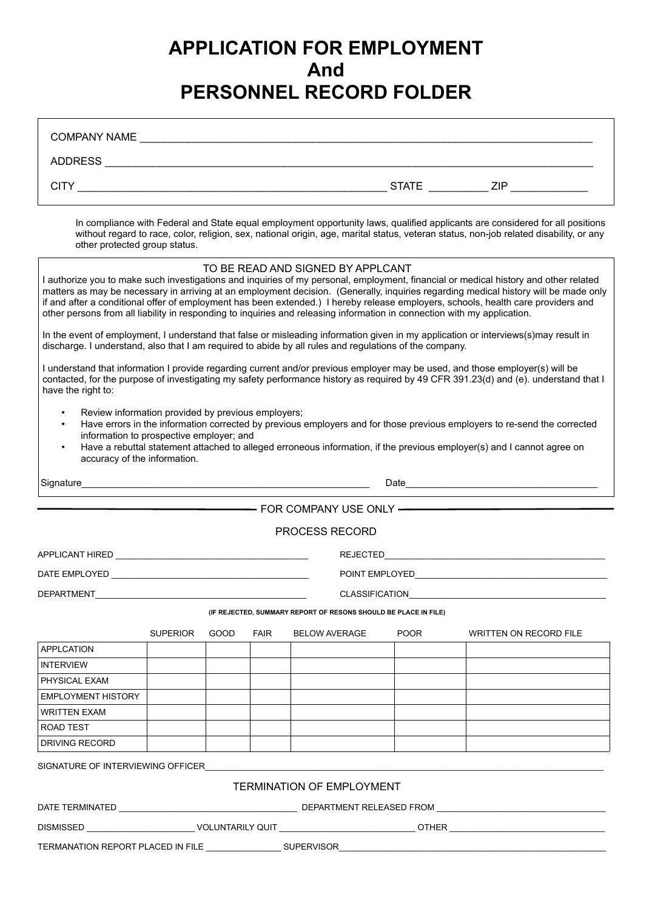# **APPLICATION FOR EMPLOYMENT And PERSONNEL RECORD FOLDER**

Г

| other protected group status.                                                                                                                                         |                 |      |             |                                                                 |             | In compliance with Federal and State equal employment opportunity laws, qualified applicants are considered for all positions<br>without regard to race, color, religion, sex, national origin, age, marital status, veteran status, non-job related disability, or any                                                                                                                                           |  |  |
|-----------------------------------------------------------------------------------------------------------------------------------------------------------------------|-----------------|------|-------------|-----------------------------------------------------------------|-------------|-------------------------------------------------------------------------------------------------------------------------------------------------------------------------------------------------------------------------------------------------------------------------------------------------------------------------------------------------------------------------------------------------------------------|--|--|
| other persons from all liability in responding to inquiries and releasing information in connection with my application.                                              |                 |      |             | TO BE READ AND SIGNED BY APPLCANT                               |             | I authorize you to make such investigations and inquiries of my personal, employment, financial or medical history and other related<br>matters as may be necessary in arriving at an employment decision. (Generally, inquiries regarding medical history will be made only<br>if and after a conditional offer of employment has been extended.) I hereby release employers, schools, health care providers and |  |  |
| discharge. I understand, also that I am required to abide by all rules and regulations of the company.                                                                |                 |      |             |                                                                 |             | In the event of employment, I understand that false or misleading information given in my application or interviews(s)may result in                                                                                                                                                                                                                                                                               |  |  |
| have the right to:                                                                                                                                                    |                 |      |             |                                                                 |             | I understand that information I provide regarding current and/or previous employer may be used, and those employer(s) will be<br>contacted, for the purpose of investigating my safety performance history as required by 49 CFR 391.23(d) and (e). understand that I                                                                                                                                             |  |  |
| Review information provided by previous employers;<br>$\bullet$<br>$\bullet$<br>information to prospective employer; and<br>$\bullet$<br>accuracy of the information. |                 |      |             |                                                                 |             | Have errors in the information corrected by previous employers and for those previous employers to re-send the corrected<br>Have a rebuttal statement attached to alleged erroneous information, if the previous employer(s) and I cannot agree on                                                                                                                                                                |  |  |
|                                                                                                                                                                       |                 |      |             |                                                                 |             |                                                                                                                                                                                                                                                                                                                                                                                                                   |  |  |
|                                                                                                                                                                       |                 |      |             |                                                                 |             |                                                                                                                                                                                                                                                                                                                                                                                                                   |  |  |
|                                                                                                                                                                       |                 |      |             | <b>PROCESS RECORD</b>                                           |             |                                                                                                                                                                                                                                                                                                                                                                                                                   |  |  |
|                                                                                                                                                                       |                 |      |             |                                                                 |             |                                                                                                                                                                                                                                                                                                                                                                                                                   |  |  |
|                                                                                                                                                                       |                 |      |             |                                                                 |             |                                                                                                                                                                                                                                                                                                                                                                                                                   |  |  |
|                                                                                                                                                                       |                 |      |             |                                                                 |             |                                                                                                                                                                                                                                                                                                                                                                                                                   |  |  |
|                                                                                                                                                                       |                 |      |             | (IF REJECTED, SUMMARY REPORT OF RESONS SHOULD BE PLACE IN FILE) |             |                                                                                                                                                                                                                                                                                                                                                                                                                   |  |  |
|                                                                                                                                                                       |                 |      |             |                                                                 |             |                                                                                                                                                                                                                                                                                                                                                                                                                   |  |  |
| <b>APPLCATION</b>                                                                                                                                                     | <b>SUPERIOR</b> | GOOD | <b>FAIR</b> | <b>BELOW AVERAGE</b>                                            | <b>POOR</b> | <b>WRITTEN ON RECORD FILE</b>                                                                                                                                                                                                                                                                                                                                                                                     |  |  |
| <b>INTERVIEW</b>                                                                                                                                                      |                 |      |             |                                                                 |             |                                                                                                                                                                                                                                                                                                                                                                                                                   |  |  |
| PHYSICAL EXAM                                                                                                                                                         |                 |      |             |                                                                 |             |                                                                                                                                                                                                                                                                                                                                                                                                                   |  |  |
| <b>EMPLOYMENT HISTORY</b>                                                                                                                                             |                 |      |             |                                                                 |             |                                                                                                                                                                                                                                                                                                                                                                                                                   |  |  |
| <b>WRITTEN EXAM</b>                                                                                                                                                   |                 |      |             |                                                                 |             |                                                                                                                                                                                                                                                                                                                                                                                                                   |  |  |
| ROAD TEST                                                                                                                                                             |                 |      |             |                                                                 |             |                                                                                                                                                                                                                                                                                                                                                                                                                   |  |  |
| <b>DRIVING RECORD</b>                                                                                                                                                 |                 |      |             |                                                                 |             |                                                                                                                                                                                                                                                                                                                                                                                                                   |  |  |
| SIGNATURE OF INTERVIEWING OFFICER SERVICE OF A SERVICE OF A SERVICE OF STREET OF STREET AND STREET AND STREET                                                         |                 |      |             |                                                                 |             |                                                                                                                                                                                                                                                                                                                                                                                                                   |  |  |
|                                                                                                                                                                       |                 |      |             | <b>TERMINATION OF EMPLOYMENT</b>                                |             |                                                                                                                                                                                                                                                                                                                                                                                                                   |  |  |
|                                                                                                                                                                       |                 |      |             |                                                                 |             |                                                                                                                                                                                                                                                                                                                                                                                                                   |  |  |
|                                                                                                                                                                       |                 |      |             |                                                                 |             |                                                                                                                                                                                                                                                                                                                                                                                                                   |  |  |
|                                                                                                                                                                       |                 |      |             |                                                                 |             | DISMISSED ___________________________VOLUNTARILY QUIT _____________________________OTHER ___________________________                                                                                                                                                                                                                                                                                              |  |  |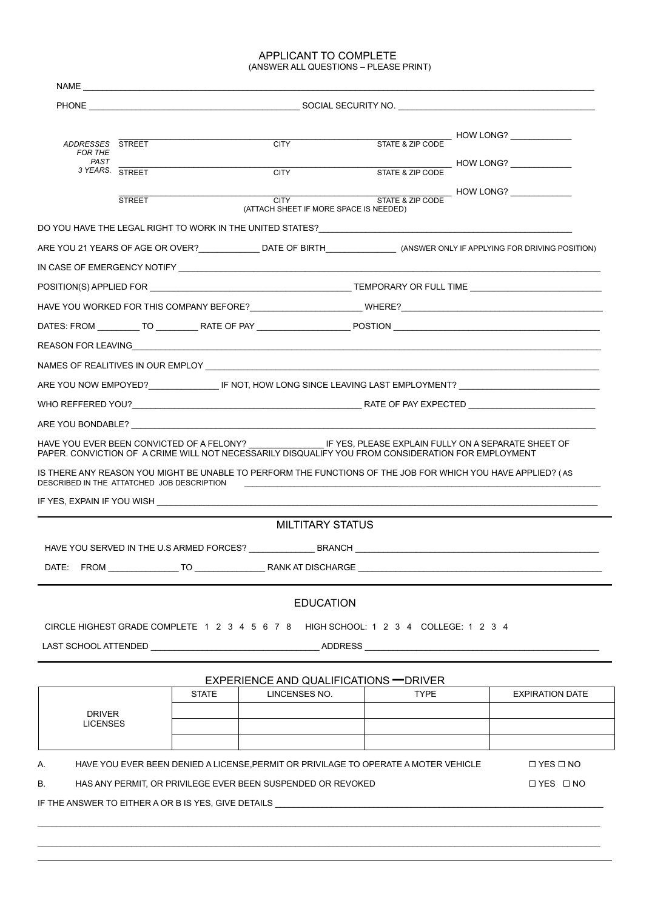#### APPLICANT TO COMPLETE (ANSWER ALL QUESTIONS – PLEASE PRINT)

| ADDRESSES STREET<br><b>FOR THE</b>         |               |              | <b>CITY</b>                                                                                                                                                                                                                   |             | STATE & ZIP CODE HOW LONG?                                                                                                                                                                                                     |  |  |  |  |
|--------------------------------------------|---------------|--------------|-------------------------------------------------------------------------------------------------------------------------------------------------------------------------------------------------------------------------------|-------------|--------------------------------------------------------------------------------------------------------------------------------------------------------------------------------------------------------------------------------|--|--|--|--|
| PAST<br>3 YEARS. STREET                    |               |              | <b>CITY</b>                                                                                                                                                                                                                   |             | STATE & ZIP CODE HOW LONG?                                                                                                                                                                                                     |  |  |  |  |
|                                            | <b>STREET</b> |              | <b>CITY</b><br>(ATTACH SHEET IF MORE SPACE IS NEEDED)                                                                                                                                                                         |             | STATE & ZIP CODE HOW LONG?                                                                                                                                                                                                     |  |  |  |  |
|                                            |               |              | DO YOU HAVE THE LEGAL RIGHT TO WORK IN THE UNITED STATES? UNLOCATED AND RELEASED AND RELEASED FOR RELEASED AND                                                                                                                |             |                                                                                                                                                                                                                                |  |  |  |  |
|                                            |               |              |                                                                                                                                                                                                                               |             | ARE YOU 21 YEARS OF AGE OR OVER?________________DATE OF BIRTH____________________ (ANSWER ONLY IF APPLYING FOR DRIVING POSITION)                                                                                               |  |  |  |  |
|                                            |               |              |                                                                                                                                                                                                                               |             |                                                                                                                                                                                                                                |  |  |  |  |
|                                            |               |              |                                                                                                                                                                                                                               |             |                                                                                                                                                                                                                                |  |  |  |  |
|                                            |               |              |                                                                                                                                                                                                                               |             |                                                                                                                                                                                                                                |  |  |  |  |
|                                            |               |              |                                                                                                                                                                                                                               |             |                                                                                                                                                                                                                                |  |  |  |  |
|                                            |               |              |                                                                                                                                                                                                                               |             |                                                                                                                                                                                                                                |  |  |  |  |
|                                            |               |              | NAMES OF REALITIVES IN OUR EMPLOY LARGE AND A CONTROL CONTROL CONTROL CONTROL CONTROL CONTROL CONTROL CONTROL CONTROL CONTROL CONTROL CONTROL CONTROL CONTROL CONTROL CONTROL CONTROL CONTROL CONTROL CONTROL CONTROL CONTROL |             |                                                                                                                                                                                                                                |  |  |  |  |
|                                            |               |              |                                                                                                                                                                                                                               |             | ARE YOU NOW EMPOYED?________________IF NOT, HOW LONG SINCE LEAVING LAST EMPLOYMENT? ________________                                                                                                                           |  |  |  |  |
|                                            |               |              |                                                                                                                                                                                                                               |             |                                                                                                                                                                                                                                |  |  |  |  |
|                                            |               |              |                                                                                                                                                                                                                               |             |                                                                                                                                                                                                                                |  |  |  |  |
| DESCRIBED IN THE ATTATCHED JOB DESCRIPTION |               |              | PAPER, CONVICTION OF A CRIME WILL NOT NECESSARILY DISQUALIFY YOU FROM CONSIDERATION FOR EMPLOYMENT                                                                                                                            |             | IS THERE ANY REASON YOU MIGHT BE UNABLE TO PERFORM THE FUNCTIONS OF THE JOB FOR WHICH YOU HAVE APPLIED? ( AS                                                                                                                   |  |  |  |  |
|                                            |               |              | <b>MILTITARY STATUS</b>                                                                                                                                                                                                       |             |                                                                                                                                                                                                                                |  |  |  |  |
|                                            |               |              |                                                                                                                                                                                                                               |             |                                                                                                                                                                                                                                |  |  |  |  |
|                                            |               |              |                                                                                                                                                                                                                               |             |                                                                                                                                                                                                                                |  |  |  |  |
|                                            |               |              |                                                                                                                                                                                                                               |             |                                                                                                                                                                                                                                |  |  |  |  |
| DATE:                                      |               |              | <b>EDUCATION</b><br>CIRCLE HIGHEST GRADE COMPLETE 1 2 3 4 5 6 7 8 HIGH SCHOOL: 1 2 3 4 COLLEGE: 1 2 3 4                                                                                                                       |             | LAST SCHOOL ATTENDED AND ANNOUNCED AND ADDRESS AND ALCOHOL AND ANNOUNCED AND ALCOHOL. AND ANNOUNCED AT A LOCAL AND A LOCAL AND A LOCAL AND A LOCAL AND A LOCAL AND A LOCAL AND A LOCAL AND A LOCAL AND A LOCAL AND A LOCAL AND |  |  |  |  |
|                                            |               |              |                                                                                                                                                                                                                               |             |                                                                                                                                                                                                                                |  |  |  |  |
|                                            |               |              | EXPERIENCE AND QUALIFICATIONS - DRIVER                                                                                                                                                                                        |             |                                                                                                                                                                                                                                |  |  |  |  |
|                                            |               | <b>STATE</b> | LINCENSES NO.                                                                                                                                                                                                                 | <b>TYPE</b> | <b>EXPIRATION DATE</b>                                                                                                                                                                                                         |  |  |  |  |
| <b>DRIVER</b><br><b>LICENSES</b>           |               |              |                                                                                                                                                                                                                               |             |                                                                                                                                                                                                                                |  |  |  |  |
|                                            |               |              |                                                                                                                                                                                                                               |             |                                                                                                                                                                                                                                |  |  |  |  |
|                                            |               |              | HAVE YOU EVER BEEN DENIED A LICENSE, PERMIT OR PRIVILAGE TO OPERATE A MOTER VEHICLE                                                                                                                                           |             | $\Box$ YES $\Box$ NO                                                                                                                                                                                                           |  |  |  |  |
|                                            |               |              | HAS ANY PERMIT, OR PRIVILEGE EVER BEEN SUSPENDED OR REVOKED                                                                                                                                                                   |             | $\Box$ YES $\Box$ NO                                                                                                                                                                                                           |  |  |  |  |

\_\_\_\_\_\_\_\_\_\_\_\_\_\_\_\_\_\_\_\_\_\_\_\_\_\_\_\_\_\_\_\_\_\_\_\_\_\_\_\_\_\_\_\_\_\_\_\_\_\_\_\_\_\_\_\_\_\_\_\_\_\_\_\_\_\_\_\_\_\_\_\_\_\_\_\_\_\_\_\_\_\_\_\_\_\_\_\_\_\_\_\_\_\_\_\_\_\_\_\_\_\_\_\_\_\_\_\_\_\_\_\_\_\_\_\_\_\_\_\_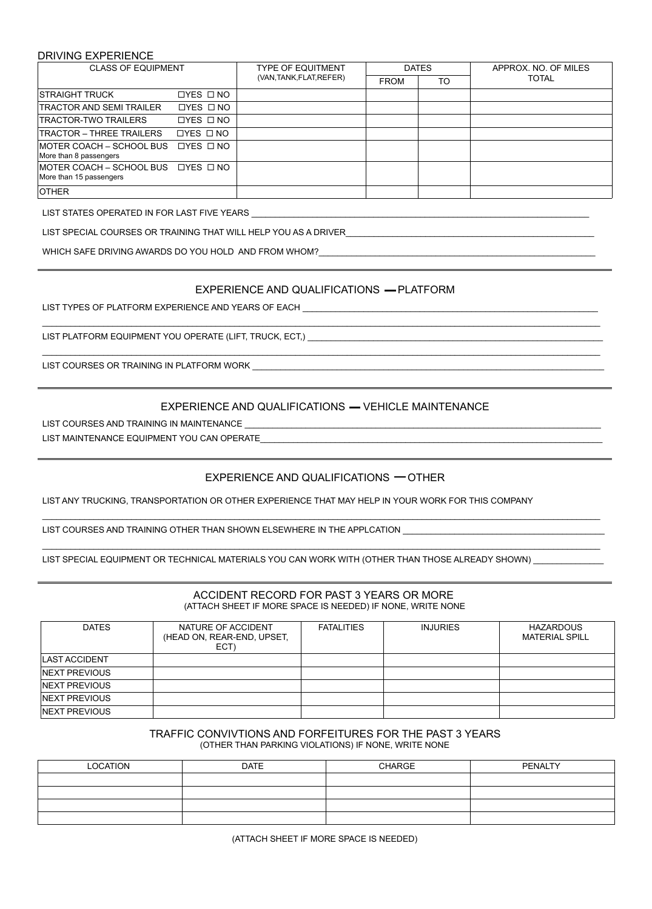## DRIVING EXPERIENCE

| <b>CLASS OF EQUIPMENT</b>                                       |                      | <b>TYPE OF EQUITMENT</b> | <b>DATES</b> |    | APPROX. NO. OF MILES |
|-----------------------------------------------------------------|----------------------|--------------------------|--------------|----|----------------------|
|                                                                 |                      | (VAN, TANK, FLAT, REFER) | <b>FROM</b>  | TO | <b>TOTAL</b>         |
| <b>ISTRAIGHT TRUCK</b>                                          | $LYES$ $\Box$ NO     |                          |              |    |                      |
| <b>TRACTOR AND SEMI TRAILER</b>                                 | $LYES$ $\Box$ NO     |                          |              |    |                      |
| TRACTOR-TWO TRAILERS                                            | $\Box$ YES $\Box$ NO |                          |              |    |                      |
| TRACTOR - THREE TRAILERS                                        | $\Box$ YES $\Box$ NO |                          |              |    |                      |
| IMOTER COACH – SCHOOL BUS □ TYES □ NO<br>More than 8 passengers |                      |                          |              |    |                      |
| IMOTER COACH – SCHOOL BUS □ YES □ NO<br>More than 15 passengers |                      |                          |              |    |                      |
| <b>OTHER</b>                                                    |                      |                          |              |    |                      |

LIST STATES OPERATED IN FOR LAST FIVE YEARS \_\_\_\_\_\_\_\_\_\_\_\_\_\_\_\_\_\_\_\_\_\_\_\_\_\_\_\_\_\_\_\_\_\_\_\_\_\_\_\_\_\_\_\_\_\_\_\_\_\_\_\_\_\_\_\_\_\_\_\_\_\_\_\_\_\_\_\_\_\_\_\_

LIST SPECIAL COURSES OR TRAINING THAT WILL HELP YOU AS A DRIVER\_

WHICH SAFE DRIVING AWARDS DO YOU HOLD AND FROM WHOM?

# EXPERIENCE AND QUALIFICATIONS - PLATFORM

\_\_\_\_\_\_\_\_\_\_\_\_\_\_\_\_\_\_\_\_\_\_\_\_\_\_\_\_\_\_\_\_\_\_\_\_\_\_\_\_\_\_\_\_\_\_\_\_\_\_\_\_\_\_\_\_\_\_\_\_\_\_\_\_\_\_\_\_\_\_\_\_\_\_\_\_\_\_\_\_\_\_\_\_\_\_\_\_\_\_\_\_\_\_\_\_\_\_\_\_\_\_\_\_\_\_\_\_\_\_\_\_\_\_\_\_\_\_\_

\_\_\_\_\_\_\_\_\_\_\_\_\_\_\_\_\_\_\_\_\_\_\_\_\_\_\_\_\_\_\_\_\_\_\_\_\_\_\_\_\_\_\_\_\_\_\_\_\_\_\_\_\_\_\_\_\_\_\_\_\_\_\_\_\_\_\_\_\_\_\_\_\_\_\_\_\_\_\_\_\_\_\_\_\_\_\_\_\_\_\_\_\_\_\_\_\_\_\_\_\_\_\_\_\_\_\_\_\_\_\_\_\_\_\_\_\_\_\_

LIST TYPES OF PLATFORM EXPERIENCE AND YEARS OF EACH \_\_\_\_

LIST PLATFORM EQUIPMENT YOU OPERATE (LIFT, TRUCK, ECT,) \_\_\_\_\_\_\_\_\_\_\_\_\_\_\_\_\_\_\_\_\_\_\_\_

LIST COURSES OR TRAINING IN PLATFORM WORK

# EXPERIENCE AND QUALIFICATIONS - VEHICLE MAINTENANCE

LIST COURSES AND TRAINING IN MAINTENANCE

LIST MAINTENANCE EQUIPMENT YOU CAN OPERATE

# EXPERIENCE AND QUALIFICATIONS  $-$  OTHER

 $\_$  ,  $\_$  ,  $\_$  ,  $\_$  ,  $\_$  ,  $\_$  ,  $\_$  ,  $\_$  ,  $\_$  ,  $\_$  ,  $\_$  ,  $\_$  ,  $\_$  ,  $\_$  ,  $\_$  ,  $\_$  ,  $\_$  ,  $\_$  ,  $\_$  ,  $\_$  ,  $\_$  ,  $\_$  ,  $\_$  ,  $\_$  ,  $\_$  ,  $\_$  ,  $\_$  ,  $\_$  ,  $\_$  ,  $\_$  ,  $\_$  ,  $\_$  ,  $\_$  ,  $\_$  ,  $\_$  ,  $\_$  ,  $\_$  ,

\_\_\_\_\_\_\_\_\_\_\_\_\_\_\_\_\_\_\_\_\_\_\_\_\_\_\_\_\_\_\_\_\_\_\_\_\_\_\_\_\_\_\_\_\_\_\_\_\_\_\_\_\_\_\_\_\_\_\_\_\_\_\_\_\_\_\_\_\_\_\_\_\_\_\_\_\_\_\_\_\_\_\_\_\_\_\_\_\_\_\_\_\_\_\_\_\_\_\_\_\_\_\_\_\_\_\_\_\_\_\_\_\_\_\_\_\_\_\_

LIST ANY TRUCKING, TRANSPORTATION OR OTHER EXPERIENCE THAT MAY HELP IN YOUR WORK FOR THIS COMPANY

LIST COURSES AND TRAINING OTHER THAN SHOWN ELSEWHERE IN THE APPLCATION \_\_\_\_\_\_\_\_\_

LIST SPECIAL EQUIPMENT OR TECHNICAL MATERIALS YOU CAN WORK WITH (OTHER THAN THOSE ALREADY SHOWN) \_\_

## ACCIDENT RECORD FOR PAST 3 YEARS OR MORE (ATTACH SHEET IF MORE SPACE IS NEEDED) IF NONE, WRITE NONE

| <b>DATES</b>          | NATURE OF ACCIDENT<br>(HEAD ON, REAR-END, UPSET,<br>ECT) | <b>FATALITIES</b> | <b>INJURIES</b> | HAZARDOUS<br><b>MATERIAL SPILL</b> |
|-----------------------|----------------------------------------------------------|-------------------|-----------------|------------------------------------|
| <b>LAST ACCIDENT</b>  |                                                          |                   |                 |                                    |
| <b>INEXT PREVIOUS</b> |                                                          |                   |                 |                                    |
| <b>INEXT PREVIOUS</b> |                                                          |                   |                 |                                    |
| <b>INEXT PREVIOUS</b> |                                                          |                   |                 |                                    |
| <b>INEXT PREVIOUS</b> |                                                          |                   |                 |                                    |

#### TRAFFIC CONVIVTIONS AND FORFEITURES FOR THE PAST 3 YEARS (OTHER THAN PARKING VIOLATIONS) IF NONE, WRITE NONE

| LOCATION | <b>DATE</b> | CHARGE | PENALTY |
|----------|-------------|--------|---------|
|          |             |        |         |
|          |             |        |         |
|          |             |        |         |
|          |             |        |         |

(ATTACH SHEET IF MORE SPACE IS NEEDED)